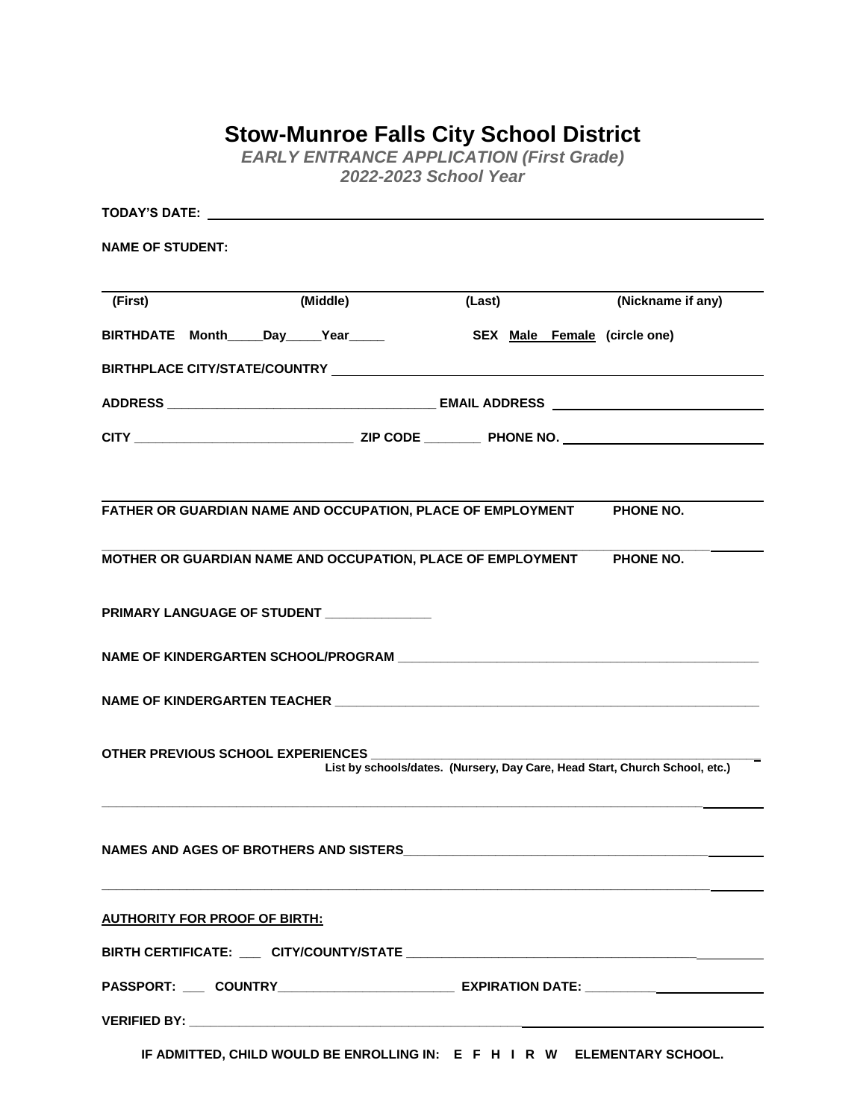## **Stow-Munroe Falls City School District**

*EARLY ENTRANCE APPLICATION (First Grade) 2022-2023 School Year*

| <b>NAME OF STUDENT:</b>               |                                           |                                                                                  |                   |
|---------------------------------------|-------------------------------------------|----------------------------------------------------------------------------------|-------------------|
| (First)                               | (Middle)                                  | (Last)                                                                           | (Nickname if any) |
| BIRTHDATE Month_____Day_____Year_____ |                                           | SEX Male Female (circle one)                                                     |                   |
|                                       |                                           |                                                                                  |                   |
|                                       |                                           |                                                                                  |                   |
|                                       |                                           |                                                                                  |                   |
|                                       |                                           | FATHER OR GUARDIAN NAME AND OCCUPATION, PLACE OF EMPLOYMENT                      | PHONE NO.         |
|                                       |                                           | MOTHER OR GUARDIAN NAME AND OCCUPATION, PLACE OF EMPLOYMENT                      | PHONE NO.         |
|                                       | PRIMARY LANGUAGE OF STUDENT _____________ |                                                                                  |                   |
|                                       |                                           |                                                                                  |                   |
|                                       |                                           |                                                                                  |                   |
|                                       | OTHER PREVIOUS SCHOOL EXPERIENCES         | List by schools/dates. (Nursery, Day Care, Head Start, Church School, etc.)      |                   |
|                                       |                                           |                                                                                  |                   |
| <b>AUTHORITY FOR PROOF OF BIRTH:</b>  |                                           |                                                                                  |                   |
|                                       |                                           |                                                                                  |                   |
|                                       |                                           | PASSPORT: ___ COUNTRY____________________________ EXPIRATION DATE: _____________ |                   |
|                                       |                                           |                                                                                  |                   |

**IF ADMITTED, CHILD WOULD BE ENROLLING IN: E F H I R W ELEMENTARY SCHOOL.**